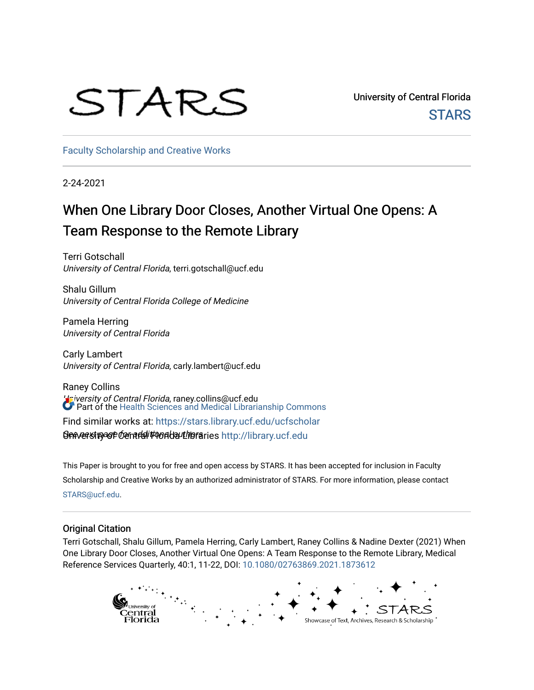# STARS

University of Central Florida **STARS** 

[Faculty Scholarship and Creative Works](https://stars.library.ucf.edu/ucfscholar) 

2-24-2021

# When One Library Door Closes, Another Virtual One Opens: A Team Response to the Remote Library

Terri Gotschall University of Central Florida, terri.gotschall@ucf.edu

Shalu Gillum University of Central Florida College of Medicine

Pamela Herring University of Central Florida

Carly Lambert University of Central Florida, carly.lambert@ucf.edu

Raney Collins University of Central Florida, raney.collins@ucf.edu **9enversity of Central Frontal Libraries http://library.ucf.edu** Part of the [Health Sciences and Medical Librarianship Commons](http://network.bepress.com/hgg/discipline/1419?utm_source=stars.library.ucf.edu%2Fucfscholar%2F1058&utm_medium=PDF&utm_campaign=PDFCoverPages) Find similar works at: <https://stars.library.ucf.edu/ucfscholar>

This Paper is brought to you for free and open access by STARS. It has been accepted for inclusion in Faculty Scholarship and Creative Works by an authorized administrator of STARS. For more information, please contact [STARS@ucf.edu](mailto:STARS@ucf.edu).

## Original Citation

Terri Gotschall, Shalu Gillum, Pamela Herring, Carly Lambert, Raney Collins & Nadine Dexter (2021) When One Library Door Closes, Another Virtual One Opens: A Team Response to the Remote Library, Medical Reference Services Quarterly, 40:1, 11-22, DOI: [10.1080/02763869.2021.1873612](https://doi.org/10.1080/02763869.2021.1873612) 

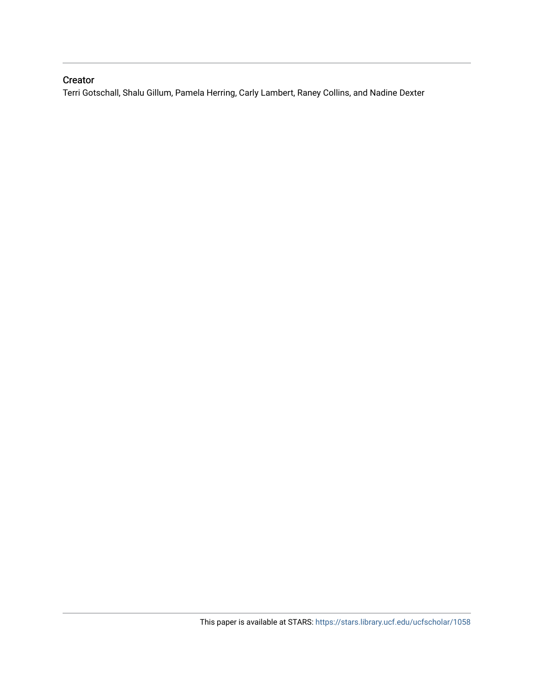# Creator

Terri Gotschall, Shalu Gillum, Pamela Herring, Carly Lambert, Raney Collins, and Nadine Dexter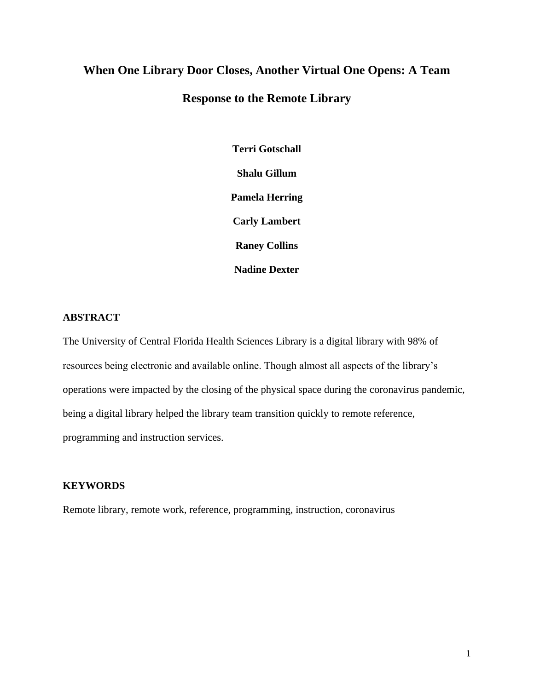# **When One Library Door Closes, Another Virtual One Opens: A Team Response to the Remote Library**

**Terri Gotschall Shalu Gillum Pamela Herring Carly Lambert Raney Collins Nadine Dexter**

# **ABSTRACT**

The University of Central Florida Health Sciences Library is a digital library with 98% of resources being electronic and available online. Though almost all aspects of the library's operations were impacted by the closing of the physical space during the coronavirus pandemic, being a digital library helped the library team transition quickly to remote reference, programming and instruction services.

## **KEYWORDS**

Remote library, remote work, reference, programming, instruction, coronavirus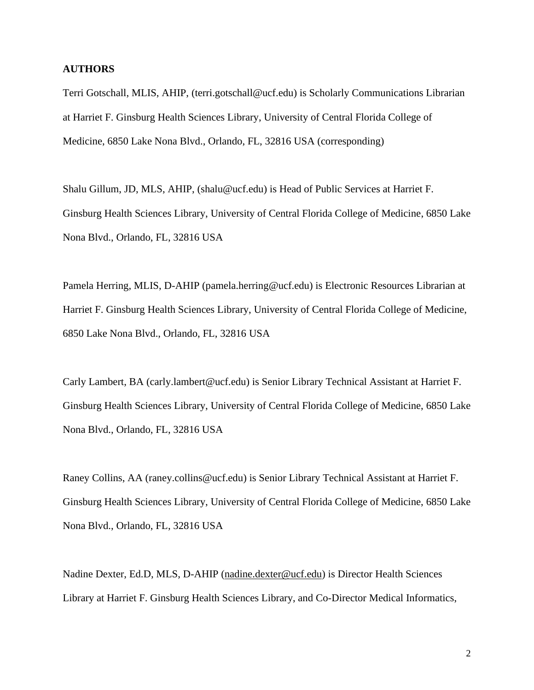#### **AUTHORS**

Terri Gotschall, MLIS, AHIP, (terri.gotschall@ucf.edu) is Scholarly Communications Librarian at Harriet F. Ginsburg Health Sciences Library, University of Central Florida College of Medicine, 6850 Lake Nona Blvd., Orlando, FL, 32816 USA (corresponding)

Shalu Gillum, JD, MLS, AHIP, (shalu@ucf.edu) is Head of Public Services at Harriet F. Ginsburg Health Sciences Library, University of Central Florida College of Medicine, 6850 Lake Nona Blvd., Orlando, FL, 32816 USA

Pamela Herring, MLIS, D-AHIP (pamela.herring@ucf.edu) is Electronic Resources Librarian at Harriet F. Ginsburg Health Sciences Library, University of Central Florida College of Medicine, 6850 Lake Nona Blvd., Orlando, FL, 32816 USA

Carly Lambert, BA (carly.lambert@ucf.edu) is Senior Library Technical Assistant at Harriet F. Ginsburg Health Sciences Library, University of Central Florida College of Medicine, 6850 Lake Nona Blvd., Orlando, FL, 32816 USA

Raney Collins, AA (raney.collins@ucf.edu) is Senior Library Technical Assistant at Harriet F. Ginsburg Health Sciences Library, University of Central Florida College of Medicine, 6850 Lake Nona Blvd., Orlando, FL, 32816 USA

Nadine Dexter, Ed.D, MLS, D-AHIP [\(nadine.dexter@ucf.edu\)](mailto:nadine.dexter@ucf.edu) is Director Health Sciences Library at Harriet F. Ginsburg Health Sciences Library, and Co-Director Medical Informatics,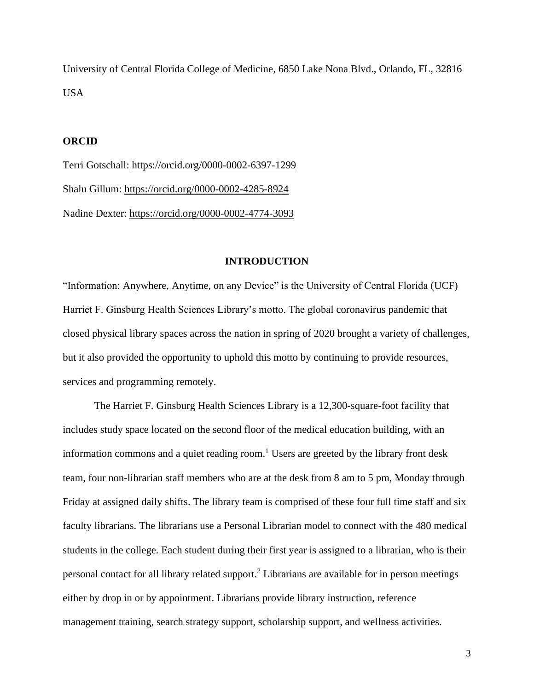University of Central Florida College of Medicine, 6850 Lake Nona Blvd., Orlando, FL, 32816 USA

#### **ORCID**

Terri Gotschall:<https://orcid.org/0000-0002-6397-1299> Shalu Gillum: <https://orcid.org/0000-0002-4285-8924> Nadine Dexter: <https://orcid.org/0000-0002-4774-3093>

#### **INTRODUCTION**

"Information: Anywhere, Anytime, on any Device" is the University of Central Florida (UCF) Harriet F. Ginsburg Health Sciences Library's motto. The global coronavirus pandemic that closed physical library spaces across the nation in spring of 2020 brought a variety of challenges, but it also provided the opportunity to uphold this motto by continuing to provide resources, services and programming remotely.

The Harriet F. Ginsburg Health Sciences Library is a 12,300-square-foot facility that includes study space located on the second floor of the medical education building, with an information commons and a quiet reading room. <sup>1</sup> Users are greeted by the library front desk team, four non-librarian staff members who are at the desk from 8 am to 5 pm, Monday through Friday at assigned daily shifts. The library team is comprised of these four full time staff and six faculty librarians. The librarians use a Personal Librarian model to connect with the 480 medical students in the college. Each student during their first year is assigned to a librarian, who is their personal contact for all library related support.<sup>2</sup> Librarians are available for in person meetings either by drop in or by appointment. Librarians provide library instruction, reference management training, search strategy support, scholarship support, and wellness activities.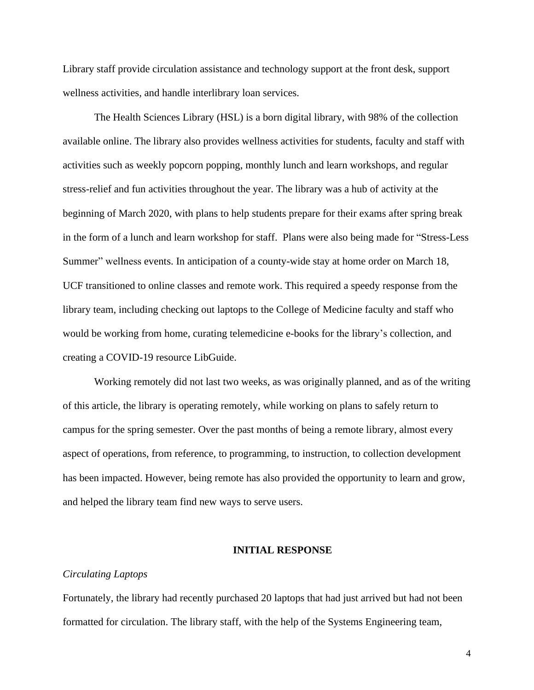Library staff provide circulation assistance and technology support at the front desk, support wellness activities, and handle interlibrary loan services.

The Health Sciences Library (HSL) is a born digital library, with 98% of the collection available online. The library also provides wellness activities for students, faculty and staff with activities such as weekly popcorn popping, monthly lunch and learn workshops, and regular stress-relief and fun activities throughout the year. The library was a hub of activity at the beginning of March 2020, with plans to help students prepare for their exams after spring break in the form of a lunch and learn workshop for staff. Plans were also being made for "Stress-Less Summer" wellness events. In anticipation of a county-wide stay at home order on March 18, UCF transitioned to online classes and remote work. This required a speedy response from the library team, including checking out laptops to the College of Medicine faculty and staff who would be working from home, curating telemedicine e-books for the library's collection, and creating a COVID-19 resource LibGuide.

Working remotely did not last two weeks, as was originally planned, and as of the writing of this article, the library is operating remotely, while working on plans to safely return to campus for the spring semester. Over the past months of being a remote library, almost every aspect of operations, from reference, to programming, to instruction, to collection development has been impacted. However, being remote has also provided the opportunity to learn and grow, and helped the library team find new ways to serve users.

#### **INITIAL RESPONSE**

#### *Circulating Laptops*

Fortunately, the library had recently purchased 20 laptops that had just arrived but had not been formatted for circulation. The library staff, with the help of the Systems Engineering team,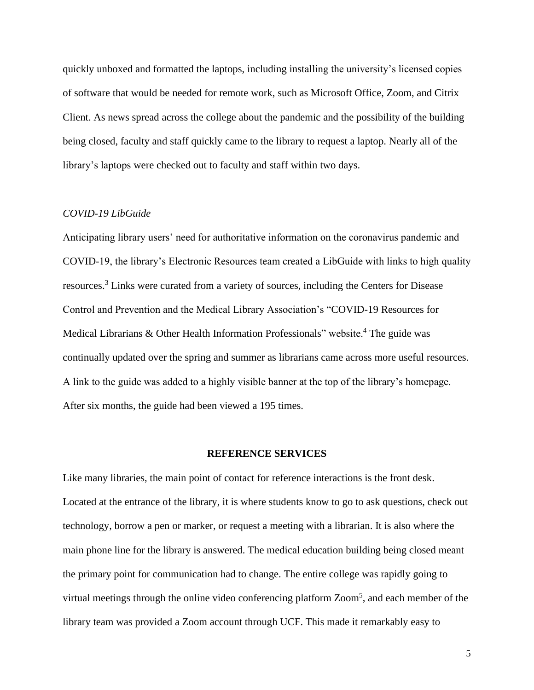quickly unboxed and formatted the laptops, including installing the university's licensed copies of software that would be needed for remote work, such as Microsoft Office, Zoom, and Citrix Client. As news spread across the college about the pandemic and the possibility of the building being closed, faculty and staff quickly came to the library to request a laptop. Nearly all of the library's laptops were checked out to faculty and staff within two days.

#### *COVID-19 LibGuide*

Anticipating library users' need for authoritative information on the coronavirus pandemic and COVID-19, the library's Electronic Resources team created a LibGuide with links to high quality resources.<sup>3</sup> Links were curated from a variety of sources, including the Centers for Disease Control and Prevention and the Medical Library Association's "COVID-19 Resources for Medical Librarians  $\&$  Other Health Information Professionals" website.<sup>4</sup> The guide was continually updated over the spring and summer as librarians came across more useful resources. A link to the guide was added to a highly visible banner at the top of the library's homepage. After six months, the guide had been viewed a 195 times.

#### **REFERENCE SERVICES**

Like many libraries, the main point of contact for reference interactions is the front desk. Located at the entrance of the library, it is where students know to go to ask questions, check out technology, borrow a pen or marker, or request a meeting with a librarian. It is also where the main phone line for the library is answered. The medical education building being closed meant the primary point for communication had to change. The entire college was rapidly going to virtual meetings through the online video conferencing platform Zoom<sup>5</sup>, and each member of the library team was provided a Zoom account through UCF. This made it remarkably easy to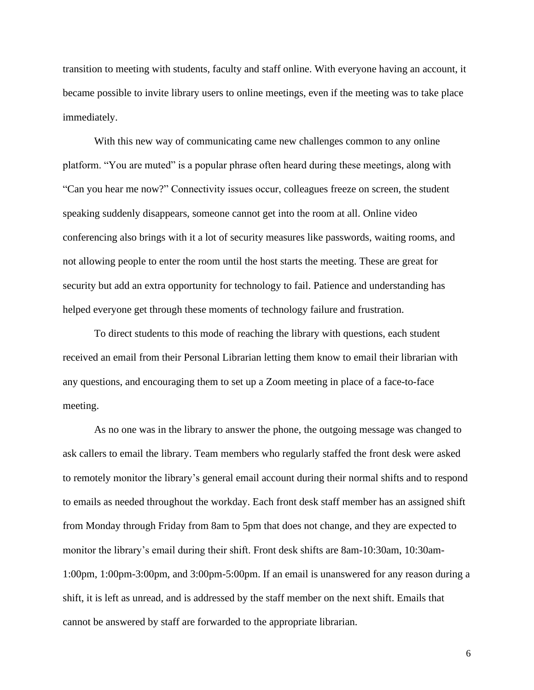transition to meeting with students, faculty and staff online. With everyone having an account, it became possible to invite library users to online meetings, even if the meeting was to take place immediately.

With this new way of communicating came new challenges common to any online platform. "You are muted" is a popular phrase often heard during these meetings, along with "Can you hear me now?" Connectivity issues occur, colleagues freeze on screen, the student speaking suddenly disappears, someone cannot get into the room at all. Online video conferencing also brings with it a lot of security measures like passwords, waiting rooms, and not allowing people to enter the room until the host starts the meeting. These are great for security but add an extra opportunity for technology to fail. Patience and understanding has helped everyone get through these moments of technology failure and frustration.

To direct students to this mode of reaching the library with questions, each student received an email from their Personal Librarian letting them know to email their librarian with any questions, and encouraging them to set up a Zoom meeting in place of a face-to-face meeting.

As no one was in the library to answer the phone, the outgoing message was changed to ask callers to email the library. Team members who regularly staffed the front desk were asked to remotely monitor the library's general email account during their normal shifts and to respond to emails as needed throughout the workday. Each front desk staff member has an assigned shift from Monday through Friday from 8am to 5pm that does not change, and they are expected to monitor the library's email during their shift. Front desk shifts are 8am-10:30am, 10:30am-1:00pm, 1:00pm-3:00pm, and 3:00pm-5:00pm. If an email is unanswered for any reason during a shift, it is left as unread, and is addressed by the staff member on the next shift. Emails that cannot be answered by staff are forwarded to the appropriate librarian.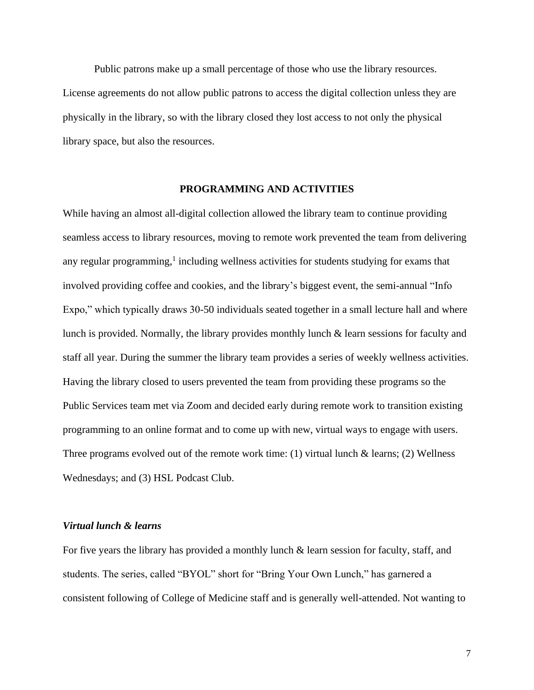Public patrons make up a small percentage of those who use the library resources. License agreements do not allow public patrons to access the digital collection unless they are physically in the library, so with the library closed they lost access to not only the physical library space, but also the resources.

#### **PROGRAMMING AND ACTIVITIES**

While having an almost all-digital collection allowed the library team to continue providing seamless access to library resources, moving to remote work prevented the team from delivering any regular programming,<sup>1</sup> including wellness activities for students studying for exams that involved providing coffee and cookies, and the library's biggest event, the semi-annual "Info Expo," which typically draws 30-50 individuals seated together in a small lecture hall and where lunch is provided. Normally, the library provides monthly lunch & learn sessions for faculty and staff all year. During the summer the library team provides a series of weekly wellness activities. Having the library closed to users prevented the team from providing these programs so the Public Services team met via Zoom and decided early during remote work to transition existing programming to an online format and to come up with new, virtual ways to engage with users. Three programs evolved out of the remote work time: (1) virtual lunch  $\&$  learns; (2) Wellness Wednesdays; and (3) HSL Podcast Club.

#### *Virtual lunch & learns*

For five years the library has provided a monthly lunch & learn session for faculty, staff, and students. The series, called "BYOL" short for "Bring Your Own Lunch," has garnered a consistent following of College of Medicine staff and is generally well-attended. Not wanting to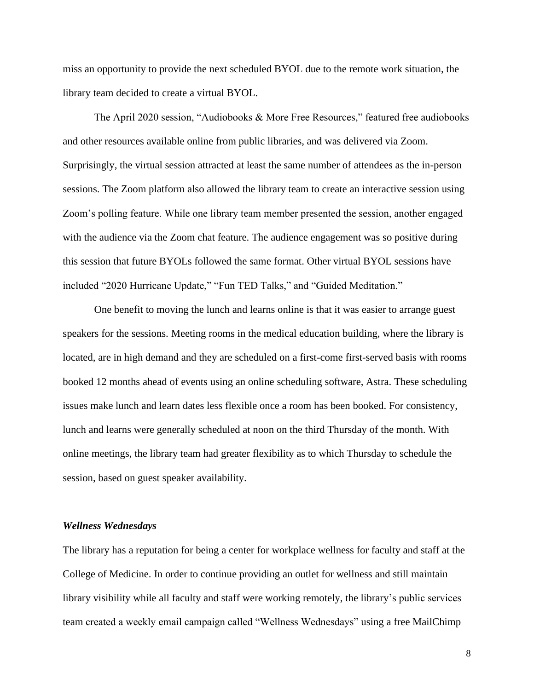miss an opportunity to provide the next scheduled BYOL due to the remote work situation, the library team decided to create a virtual BYOL.

The April 2020 session, "Audiobooks & More Free Resources," featured free audiobooks and other resources available online from public libraries, and was delivered via Zoom. Surprisingly, the virtual session attracted at least the same number of attendees as the in-person sessions. The Zoom platform also allowed the library team to create an interactive session using Zoom's polling feature. While one library team member presented the session, another engaged with the audience via the Zoom chat feature. The audience engagement was so positive during this session that future BYOLs followed the same format. Other virtual BYOL sessions have included "2020 Hurricane Update," "Fun TED Talks," and "Guided Meditation."

One benefit to moving the lunch and learns online is that it was easier to arrange guest speakers for the sessions. Meeting rooms in the medical education building, where the library is located, are in high demand and they are scheduled on a first-come first-served basis with rooms booked 12 months ahead of events using an online scheduling software, Astra. These scheduling issues make lunch and learn dates less flexible once a room has been booked. For consistency, lunch and learns were generally scheduled at noon on the third Thursday of the month. With online meetings, the library team had greater flexibility as to which Thursday to schedule the session, based on guest speaker availability.

#### *Wellness Wednesdays*

The library has a reputation for being a center for workplace wellness for faculty and staff at the College of Medicine. In order to continue providing an outlet for wellness and still maintain library visibility while all faculty and staff were working remotely, the library's public services team created a weekly email campaign called "Wellness Wednesdays" using a free MailChimp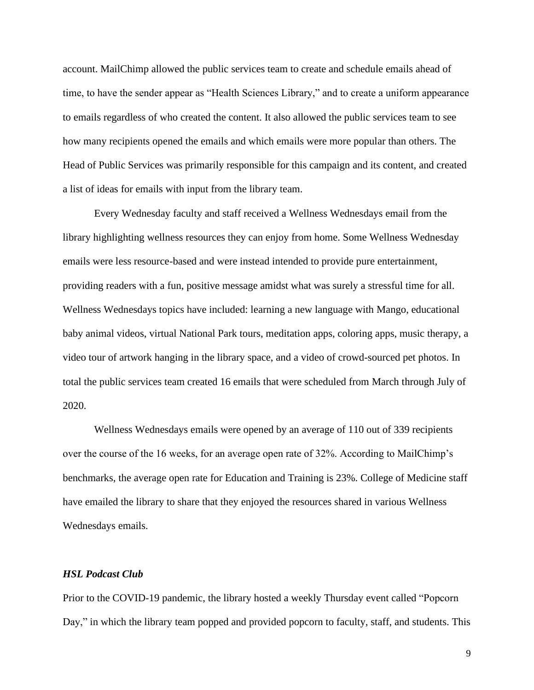account. MailChimp allowed the public services team to create and schedule emails ahead of time, to have the sender appear as "Health Sciences Library," and to create a uniform appearance to emails regardless of who created the content. It also allowed the public services team to see how many recipients opened the emails and which emails were more popular than others. The Head of Public Services was primarily responsible for this campaign and its content, and created a list of ideas for emails with input from the library team.

Every Wednesday faculty and staff received a Wellness Wednesdays email from the library highlighting wellness resources they can enjoy from home. Some Wellness Wednesday emails were less resource-based and were instead intended to provide pure entertainment, providing readers with a fun, positive message amidst what was surely a stressful time for all. Wellness Wednesdays topics have included: learning a new language with Mango, educational baby animal videos, virtual National Park tours, meditation apps, coloring apps, music therapy, a video tour of artwork hanging in the library space, and a video of crowd-sourced pet photos. In total the public services team created 16 emails that were scheduled from March through July of 2020.

Wellness Wednesdays emails were opened by an average of 110 out of 339 recipients over the course of the 16 weeks, for an average open rate of 32%. According to MailChimp's benchmarks, the average open rate for Education and Training is 23%. College of Medicine staff have emailed the library to share that they enjoyed the resources shared in various Wellness Wednesdays emails.

#### *HSL Podcast Club*

Prior to the COVID-19 pandemic, the library hosted a weekly Thursday event called "Popcorn Day," in which the library team popped and provided popcorn to faculty, staff, and students. This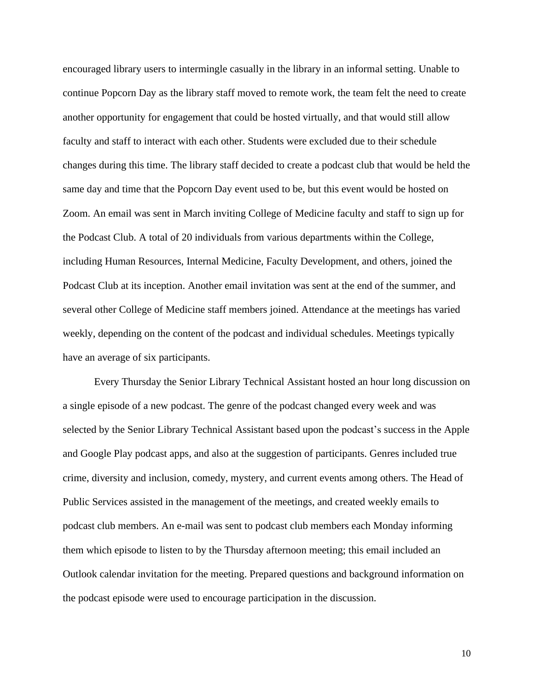encouraged library users to intermingle casually in the library in an informal setting. Unable to continue Popcorn Day as the library staff moved to remote work, the team felt the need to create another opportunity for engagement that could be hosted virtually, and that would still allow faculty and staff to interact with each other. Students were excluded due to their schedule changes during this time. The library staff decided to create a podcast club that would be held the same day and time that the Popcorn Day event used to be, but this event would be hosted on Zoom. An email was sent in March inviting College of Medicine faculty and staff to sign up for the Podcast Club. A total of 20 individuals from various departments within the College, including Human Resources, Internal Medicine, Faculty Development, and others, joined the Podcast Club at its inception. Another email invitation was sent at the end of the summer, and several other College of Medicine staff members joined. Attendance at the meetings has varied weekly, depending on the content of the podcast and individual schedules. Meetings typically have an average of six participants.

Every Thursday the Senior Library Technical Assistant hosted an hour long discussion on a single episode of a new podcast. The genre of the podcast changed every week and was selected by the Senior Library Technical Assistant based upon the podcast's success in the Apple and Google Play podcast apps, and also at the suggestion of participants. Genres included true crime, diversity and inclusion, comedy, mystery, and current events among others. The Head of Public Services assisted in the management of the meetings, and created weekly emails to podcast club members. An e-mail was sent to podcast club members each Monday informing them which episode to listen to by the Thursday afternoon meeting; this email included an Outlook calendar invitation for the meeting. Prepared questions and background information on the podcast episode were used to encourage participation in the discussion.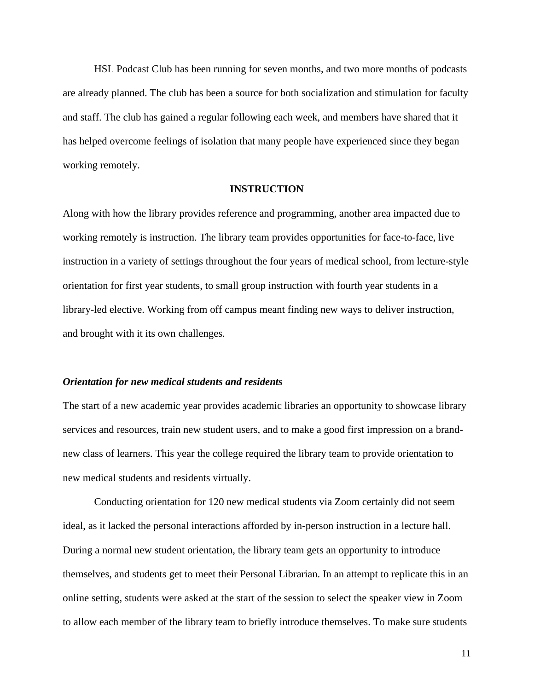HSL Podcast Club has been running for seven months, and two more months of podcasts are already planned. The club has been a source for both socialization and stimulation for faculty and staff. The club has gained a regular following each week, and members have shared that it has helped overcome feelings of isolation that many people have experienced since they began working remotely.

#### **INSTRUCTION**

Along with how the library provides reference and programming, another area impacted due to working remotely is instruction. The library team provides opportunities for face-to-face, live instruction in a variety of settings throughout the four years of medical school, from lecture-style orientation for first year students, to small group instruction with fourth year students in a library-led elective. Working from off campus meant finding new ways to deliver instruction, and brought with it its own challenges.

#### *Orientation for new medical students and residents*

The start of a new academic year provides academic libraries an opportunity to showcase library services and resources, train new student users, and to make a good first impression on a brandnew class of learners. This year the college required the library team to provide orientation to new medical students and residents virtually.

Conducting orientation for 120 new medical students via Zoom certainly did not seem ideal, as it lacked the personal interactions afforded by in-person instruction in a lecture hall. During a normal new student orientation, the library team gets an opportunity to introduce themselves, and students get to meet their Personal Librarian. In an attempt to replicate this in an online setting, students were asked at the start of the session to select the speaker view in Zoom to allow each member of the library team to briefly introduce themselves. To make sure students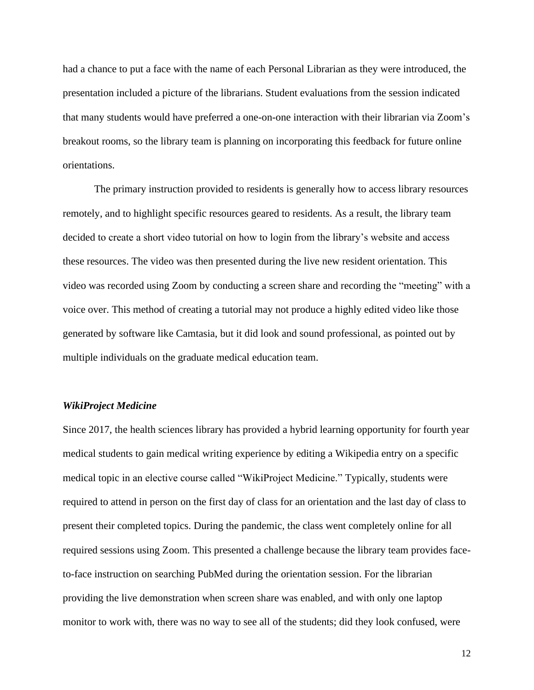had a chance to put a face with the name of each Personal Librarian as they were introduced, the presentation included a picture of the librarians. Student evaluations from the session indicated that many students would have preferred a one-on-one interaction with their librarian via Zoom's breakout rooms, so the library team is planning on incorporating this feedback for future online orientations.

The primary instruction provided to residents is generally how to access library resources remotely, and to highlight specific resources geared to residents. As a result, the library team decided to create a short video tutorial on how to login from the library's website and access these resources. The video was then presented during the live new resident orientation. This video was recorded using Zoom by conducting a screen share and recording the "meeting" with a voice over. This method of creating a tutorial may not produce a highly edited video like those generated by software like Camtasia, but it did look and sound professional, as pointed out by multiple individuals on the graduate medical education team.

#### *WikiProject Medicine*

Since 2017, the health sciences library has provided a hybrid learning opportunity for fourth year medical students to gain medical writing experience by editing a Wikipedia entry on a specific medical topic in an elective course called "WikiProject Medicine." Typically, students were required to attend in person on the first day of class for an orientation and the last day of class to present their completed topics. During the pandemic, the class went completely online for all required sessions using Zoom. This presented a challenge because the library team provides faceto-face instruction on searching PubMed during the orientation session. For the librarian providing the live demonstration when screen share was enabled, and with only one laptop monitor to work with, there was no way to see all of the students; did they look confused, were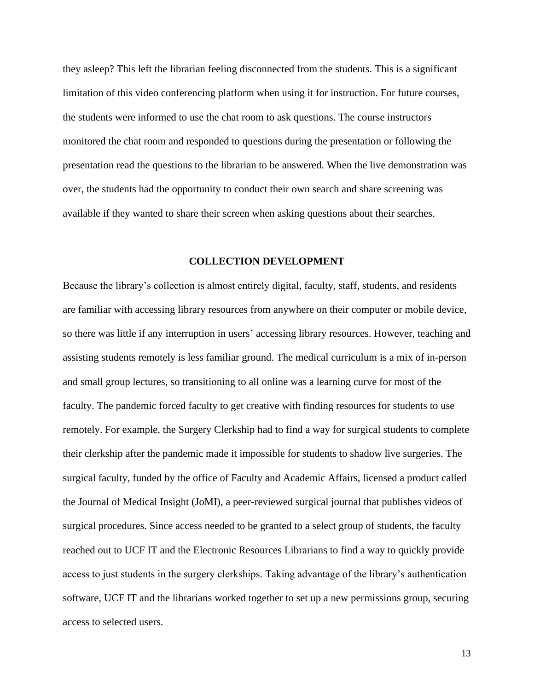they asleep? This left the librarian feeling disconnected from the students. This is a significant limitation of this video conferencing platform when using it for instruction. For future courses, the students were informed to use the chat room to ask questions. The course instructors monitored the chat room and responded to questions during the presentation or following the presentation read the questions to the librarian to be answered. When the live demonstration was over, the students had the opportunity to conduct their own search and share screening was available if they wanted to share their screen when asking questions about their searches.

#### **COLLECTION DEVELOPMENT**

Because the library's collection is almost entirely digital, faculty, staff, students, and residents are familiar with accessing library resources from anywhere on their computer or mobile device, so there was little if any interruption in users' accessing library resources. However, teaching and assisting students remotely is less familiar ground. The medical curriculum is a mix of in-person and small group lectures, so transitioning to all online was a learning curve for most of the faculty. The pandemic forced faculty to get creative with finding resources for students to use remotely. For example, the Surgery Clerkship had to find a way for surgical students to complete their clerkship after the pandemic made it impossible for students to shadow live surgeries. The surgical faculty, funded by the office of Faculty and Academic Affairs, licensed a product called the Journal of Medical Insight (JoMI), a peer-reviewed surgical journal that publishes videos of surgical procedures. Since access needed to be granted to a select group of students, the faculty reached out to UCF IT and the Electronic Resources Librarians to find a way to quickly provide access to just students in the surgery clerkships. Taking advantage of the library's authentication software, UCF IT and the librarians worked together to set up a new permissions group, securing access to selected users.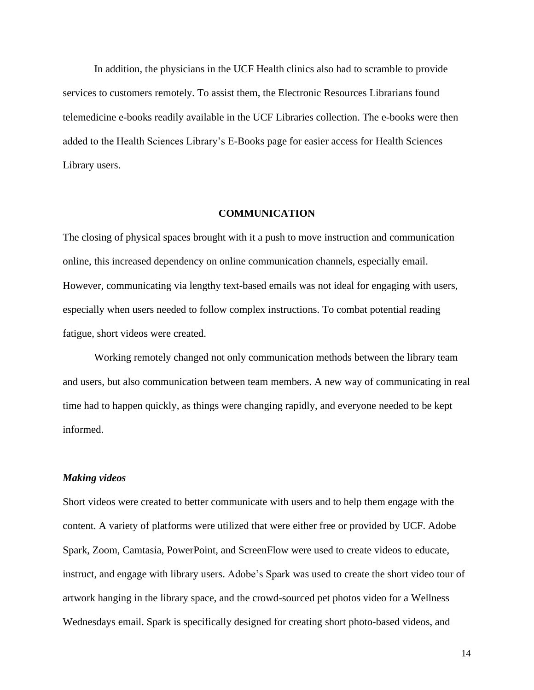In addition, the physicians in the UCF Health clinics also had to scramble to provide services to customers remotely. To assist them, the Electronic Resources Librarians found telemedicine e-books readily available in the UCF Libraries collection. The e-books were then added to the Health Sciences Library's E-Books page for easier access for Health Sciences Library users.

#### **COMMUNICATION**

The closing of physical spaces brought with it a push to move instruction and communication online, this increased dependency on online communication channels, especially email. However, communicating via lengthy text-based emails was not ideal for engaging with users, especially when users needed to follow complex instructions. To combat potential reading fatigue, short videos were created.

Working remotely changed not only communication methods between the library team and users, but also communication between team members. A new way of communicating in real time had to happen quickly, as things were changing rapidly, and everyone needed to be kept informed.

#### *Making videos*

Short videos were created to better communicate with users and to help them engage with the content. A variety of platforms were utilized that were either free or provided by UCF. Adobe Spark, Zoom, Camtasia, PowerPoint, and ScreenFlow were used to create videos to educate, instruct, and engage with library users. Adobe's Spark was used to create the short video tour of artwork hanging in the library space, and the crowd-sourced pet photos video for a Wellness Wednesdays email. Spark is specifically designed for creating short photo-based videos, and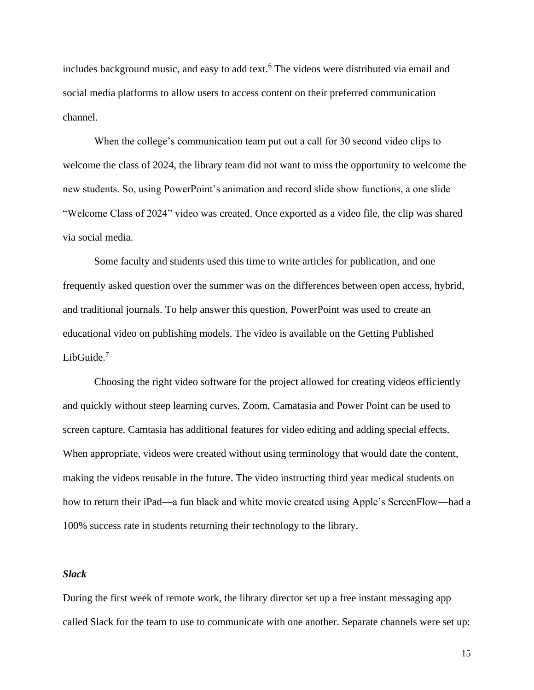includes background music, and easy to add text.<sup>6</sup> The videos were distributed via email and social media platforms to allow users to access content on their preferred communication channel.

When the college's communication team put out a call for 30 second video clips to welcome the class of 2024, the library team did not want to miss the opportunity to welcome the new students. So, using PowerPoint's animation and record slide show functions, a one slide "Welcome Class of 2024" video was created. Once exported as a video file, the clip was shared via social media.

Some faculty and students used this time to write articles for publication, and one frequently asked question over the summer was on the differences between open access, hybrid, and traditional journals. To help answer this question, PowerPoint was used to create an educational video on publishing models. The video is available on the Getting Published LibGuide.<sup>7</sup>

Choosing the right video software for the project allowed for creating videos efficiently and quickly without steep learning curves. Zoom, Camatasia and Power Point can be used to screen capture. Camtasia has additional features for video editing and adding special effects. When appropriate, videos were created without using terminology that would date the content, making the videos reusable in the future. The video instructing third year medical students on how to return their iPad—a fun black and white movie created using Apple's ScreenFlow—had a 100% success rate in students returning their technology to the library.

#### *Slack*

During the first week of remote work, the library director set up a free instant messaging app called Slack for the team to use to communicate with one another. Separate channels were set up: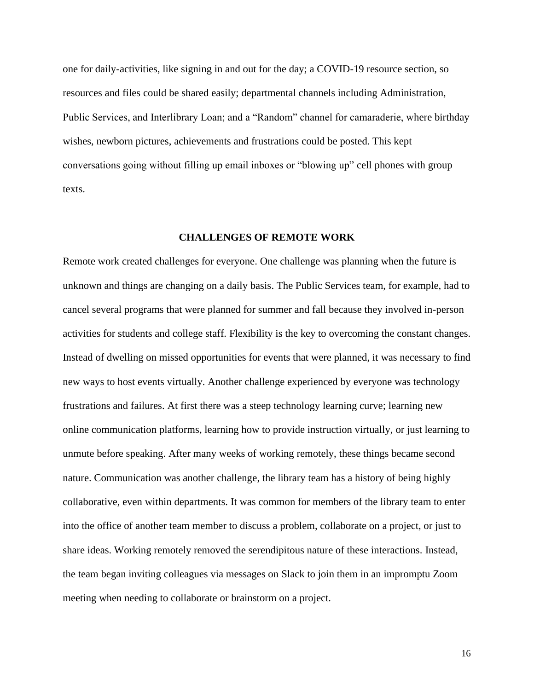one for daily-activities, like signing in and out for the day; a COVID-19 resource section, so resources and files could be shared easily; departmental channels including Administration, Public Services, and Interlibrary Loan; and a "Random" channel for camaraderie, where birthday wishes, newborn pictures, achievements and frustrations could be posted. This kept conversations going without filling up email inboxes or "blowing up" cell phones with group texts.

#### **CHALLENGES OF REMOTE WORK**

Remote work created challenges for everyone. One challenge was planning when the future is unknown and things are changing on a daily basis. The Public Services team, for example, had to cancel several programs that were planned for summer and fall because they involved in-person activities for students and college staff. Flexibility is the key to overcoming the constant changes. Instead of dwelling on missed opportunities for events that were planned, it was necessary to find new ways to host events virtually. Another challenge experienced by everyone was technology frustrations and failures. At first there was a steep technology learning curve; learning new online communication platforms, learning how to provide instruction virtually, or just learning to unmute before speaking. After many weeks of working remotely, these things became second nature. Communication was another challenge, the library team has a history of being highly collaborative, even within departments. It was common for members of the library team to enter into the office of another team member to discuss a problem, collaborate on a project, or just to share ideas. Working remotely removed the serendipitous nature of these interactions. Instead, the team began inviting colleagues via messages on Slack to join them in an impromptu Zoom meeting when needing to collaborate or brainstorm on a project.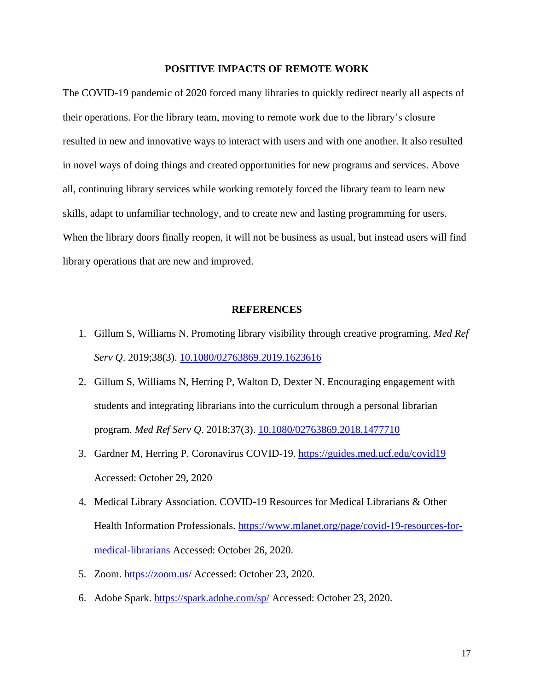### **POSITIVE IMPACTS OF REMOTE WORK**

The COVID-19 pandemic of 2020 forced many libraries to quickly redirect nearly all aspects of their operations. For the library team, moving to remote work due to the library's closure resulted in new and innovative ways to interact with users and with one another. It also resulted in novel ways of doing things and created opportunities for new programs and services. Above all, continuing library services while working remotely forced the library team to learn new skills, adapt to unfamiliar technology, and to create new and lasting programming for users. When the library doors finally reopen, it will not be business as usual, but instead users will find library operations that are new and improved.

#### **REFERENCES**

- 1. Gillum S, Williams N. Promoting library visibility through creative programing. *Med Ref Serv Q*. 2019;38(3). [10.1080/02763869.2019.1623616](https://doi.org/10.1080/02763869.2019.1623616)
- 2. Gillum S, Williams N, Herring P, Walton D, Dexter N. Encouraging engagement with students and integrating librarians into the curriculum through a personal librarian program. *Med Ref Serv Q*. 2018;37(3). [10.1080/02763869.2018.1477710](https://doi.org/10.1080/02763869.2018.1477710)
- 3. Gardner M, Herring P. Coronavirus COVID-19.<https://guides.med.ucf.edu/covid19> Accessed: October 29, 2020
- 4. Medical Library Association. COVID-19 Resources for Medical Librarians & Other Health Information Professionals. [https://www.mlanet.org/page/covid-19-resources-for](https://www.mlanet.org/page/covid-19-resources-for-medical-librarians)[medical-librarians](https://www.mlanet.org/page/covid-19-resources-for-medical-librarians) Accessed: October 26, 2020.
- 5. Zoom.<https://zoom.us/> Accessed: October 23, 2020.
- 6. Adobe Spark.<https://spark.adobe.com/sp/> Accessed: October 23, 2020.